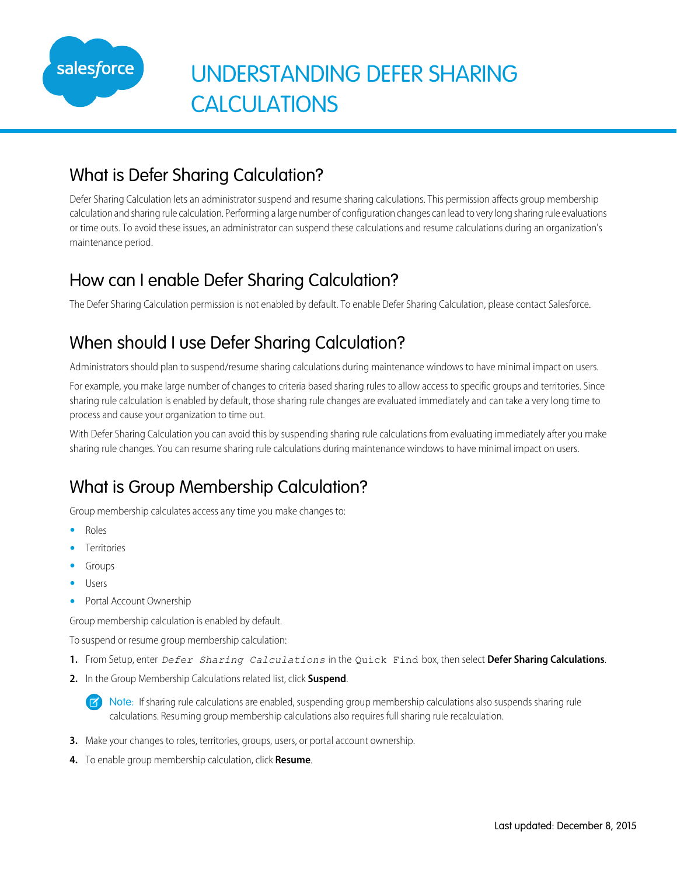

### What is Defer Sharing Calculation?

Defer Sharing Calculation lets an administrator suspend and resume sharing calculations. This permission affects group membership calculation and sharing rule calculation. Performing a large number of configuration changes can lead to very long sharing rule evaluations or time outs. To avoid these issues, an administrator can suspend these calculations and resume calculations during an organization's maintenance period.

#### How can I enable Defer Sharing Calculation?

The Defer Sharing Calculation permission is not enabled by default. To enable Defer Sharing Calculation, please contact Salesforce.

## When should I use Defer Sharing Calculation?

Administrators should plan to suspend/resume sharing calculations during maintenance windows to have minimal impact on users.

For example, you make large number of changes to criteria based sharing rules to allow access to specific groups and territories. Since sharing rule calculation is enabled by default, those sharing rule changes are evaluated immediately and can take a very long time to process and cause your organization to time out.

With Defer Sharing Calculation you can avoid this by suspending sharing rule calculations from evaluating immediately after you make sharing rule changes. You can resume sharing rule calculations during maintenance windows to have minimal impact on users.

## What is Group Membership Calculation?

Group membership calculates access any time you make changes to:

- **•** Roles
- **•** Territories
- **•** Groups
- **•** Users
- **•** Portal Account Ownership

Group membership calculation is enabled by default.

To suspend or resume group membership calculation:

- **1.** From Setup, enter *Defer Sharing Calculations* in the Quick Find box, then select **Defer Sharing Calculations**.
- **2.** In the Group Membership Calculations related list, click **Suspend**.

Note: If sharing rule calculations are enabled, suspending group membership calculations also suspends sharing rule calculations. Resuming group membership calculations also requires full sharing rule recalculation.

- **3.** Make your changes to roles, territories, groups, users, or portal account ownership.
- **4.** To enable group membership calculation, click **Resume**.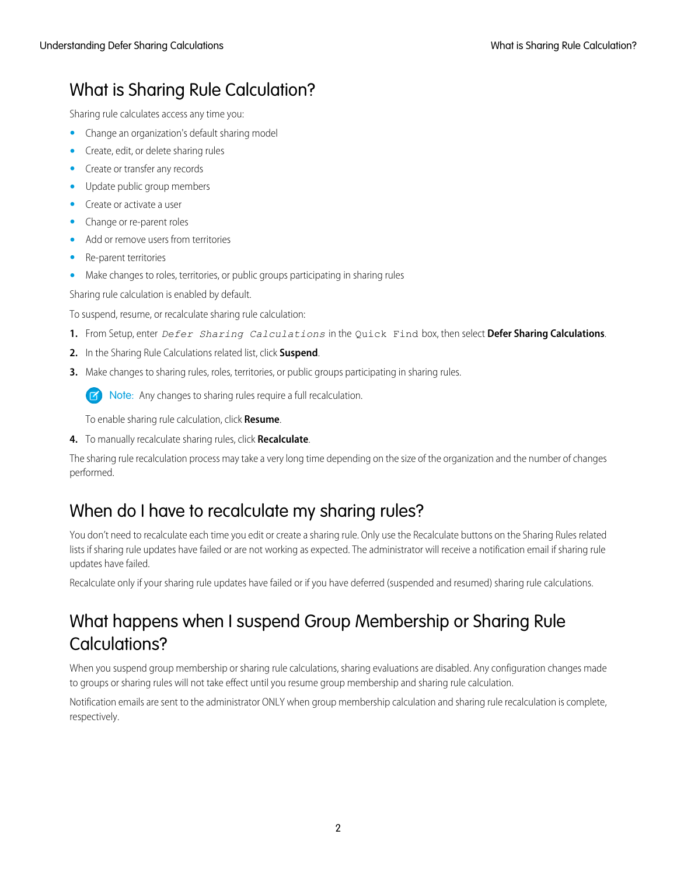### What is Sharing Rule Calculation?

Sharing rule calculates access any time you:

- **•** Change an organization's default sharing model
- **•** Create, edit, or delete sharing rules
- **•** Create or transfer any records
- **•** Update public group members
- **•** Create or activate a user
- **•** Change or re-parent roles
- **•** Add or remove users from territories
- **•** Re-parent territories
- Make changes to roles, territories, or public groups participating in sharing rules

Sharing rule calculation is enabled by default.

To suspend, resume, or recalculate sharing rule calculation:

- **1.** From Setup, enter *Defer Sharing Calculations* in the Quick Find box, then select **Defer Sharing Calculations**.
- **2.** In the Sharing Rule Calculations related list, click **Suspend**.
- **3.** Make changes to sharing rules, roles, territories, or public groups participating in sharing rules.

Note: Any changes to sharing rules require a full recalculation.  $\mathcal{A}$ 

To enable sharing rule calculation, click **Resume**.

**4.** To manually recalculate sharing rules, click **Recalculate**.

The sharing rule recalculation process may take a very long time depending on the size of the organization and the number of changes performed.

### When do I have to recalculate my sharing rules?

You don't need to recalculate each time you edit or create a sharing rule. Only use the Recalculate buttons on the Sharing Rules related lists if sharing rule updates have failed or are not working as expected. The administrator will receive a notification email if sharing rule updates have failed.

Recalculate only if your sharing rule updates have failed or if you have deferred (suspended and resumed) sharing rule calculations.

# What happens when I suspend Group Membership or Sharing Rule Calculations?

When you suspend group membership or sharing rule calculations, sharing evaluations are disabled. Any configuration changes made to groups or sharing rules will not take effect until you resume group membership and sharing rule calculation.

Notification emails are sent to the administrator ONLY when group membership calculation and sharing rule recalculation is complete, respectively.